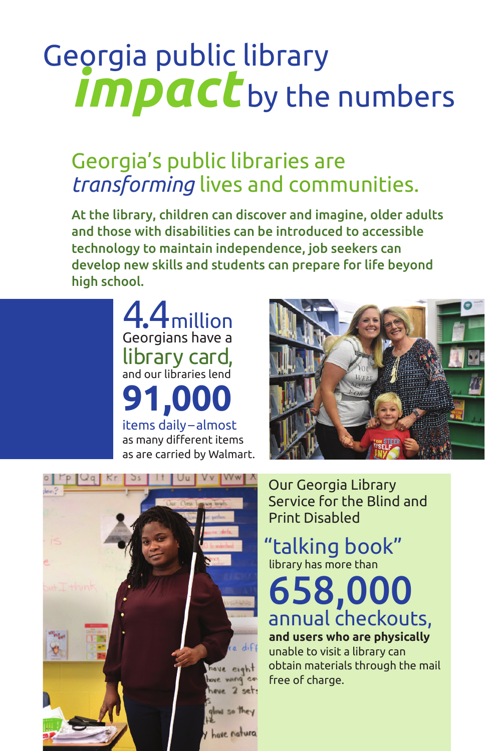## *impact* by the numbers Georgia public library

### Georgia's public libraries are *transforming* lives and communities.

At the library, children can discover and imagine, older adults and those with disabilities can be introduced to accessible technology to maintain independence, job seekers can develop new skills and students can prepare for life beyond high school.

> 4.4million Georgians have a library card, and our libraries lend **91,000** items daily –almost as many different items as are carried by Walmart.





Our Georgia Library Service for the Blind and Print Disabled

"talking book" library has more than

658,000 annual checkouts, **and users who are physically**

unable to visit a library can obtain materials through the mail free of charge.